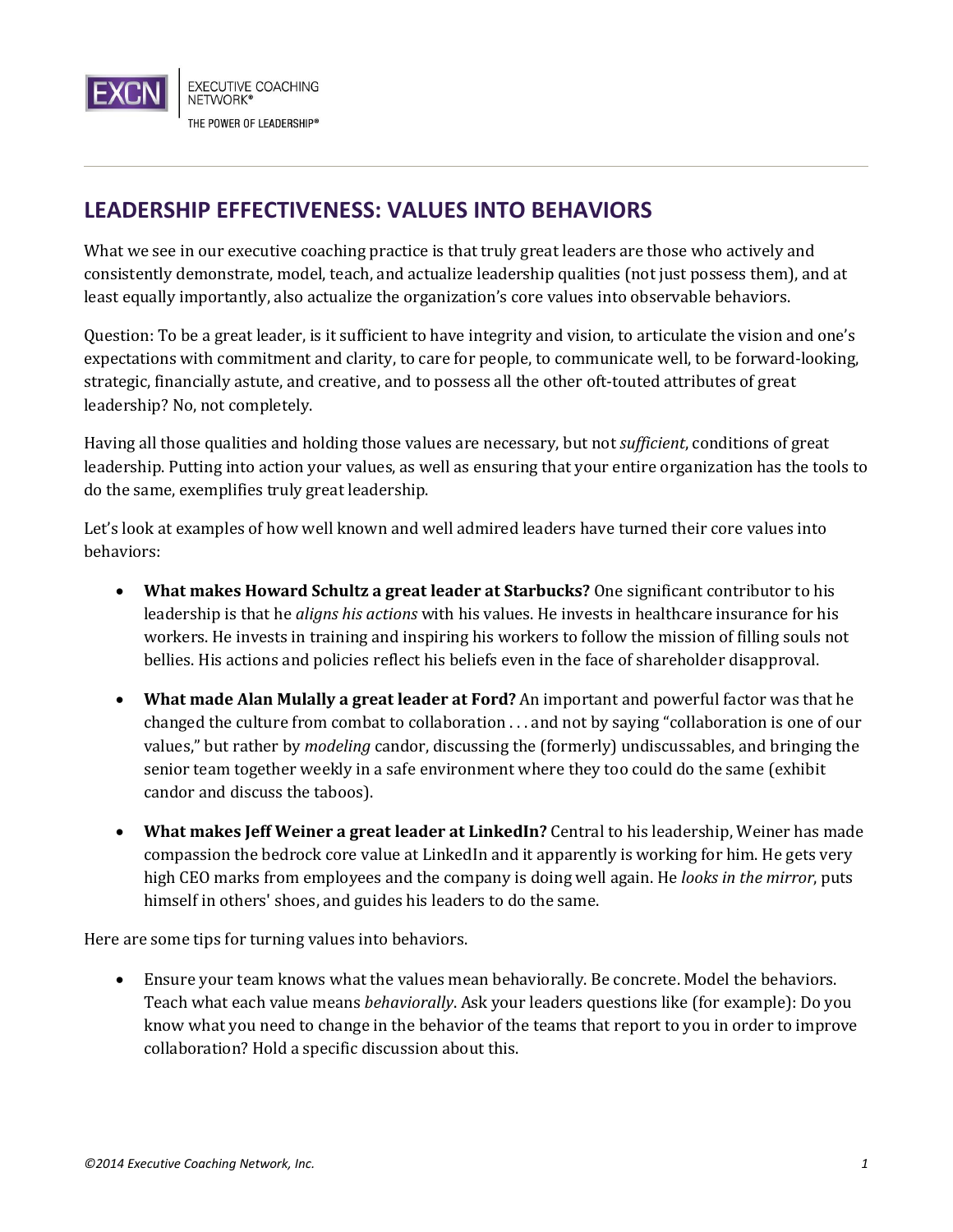

## **LEADERSHIP EFFECTIVENESS: VALUES INTO BEHAVIORS**

What we see in our executive coaching practice is that truly great leaders are those who actively and consistently demonstrate, model, teach, and actualize leadership qualities (not just possess them), and at least equally importantly, also actualize the organization's core values into observable behaviors.

Question: To be a great leader, is it sufficient to have integrity and vision, to articulate the vision and one's expectations with commitment and clarity, to care for people, to communicate well, to be forward-looking, strategic, financially astute, and creative, and to possess all the other oft-touted attributes of great leadership? No, not completely.

Having all those qualities and holding those values are necessary, but not *sufficient*, conditions of great leadership. Putting into action your values, as well as ensuring that your entire organization has the tools to do the same, exemplifies truly great leadership.

Let's look at examples of how well known and well admired leaders have turned their core values into behaviors:

- **What makes Howard Schultz a great leader at Starbucks?** One significant contributor to his leadership is that he *aligns his actions* with his values. He invests in healthcare insurance for his workers. He invests in training and inspiring his workers to follow the mission of filling souls not bellies. His actions and policies reflect his beliefs even in the face of shareholder disapproval.
- **What made Alan Mulally a great leader at Ford?** An important and powerful factor was that he changed the culture from combat to collaboration . . . and not by saying "collaboration is one of our values," but rather by *modeling* candor, discussing the (formerly) undiscussables, and bringing the senior team together weekly in a safe environment where they too could do the same (exhibit candor and discuss the taboos).
- **What makes Jeff Weiner a great leader at LinkedIn?** Central to his leadership, Weiner has made compassion the bedrock core value at LinkedIn and it apparently is working for him. He gets very high CEO marks from employees and the company is doing well again. He *looks in the mirror*, puts himself in others' shoes, and guides his leaders to do the same.

Here are some tips for turning values into behaviors.

 Ensure your team knows what the values mean behaviorally. Be concrete. Model the behaviors. Teach what each value means *behaviorally*. Ask your leaders questions like (for example): Do you know what you need to change in the behavior of the teams that report to you in order to improve collaboration? Hold a specific discussion about this.